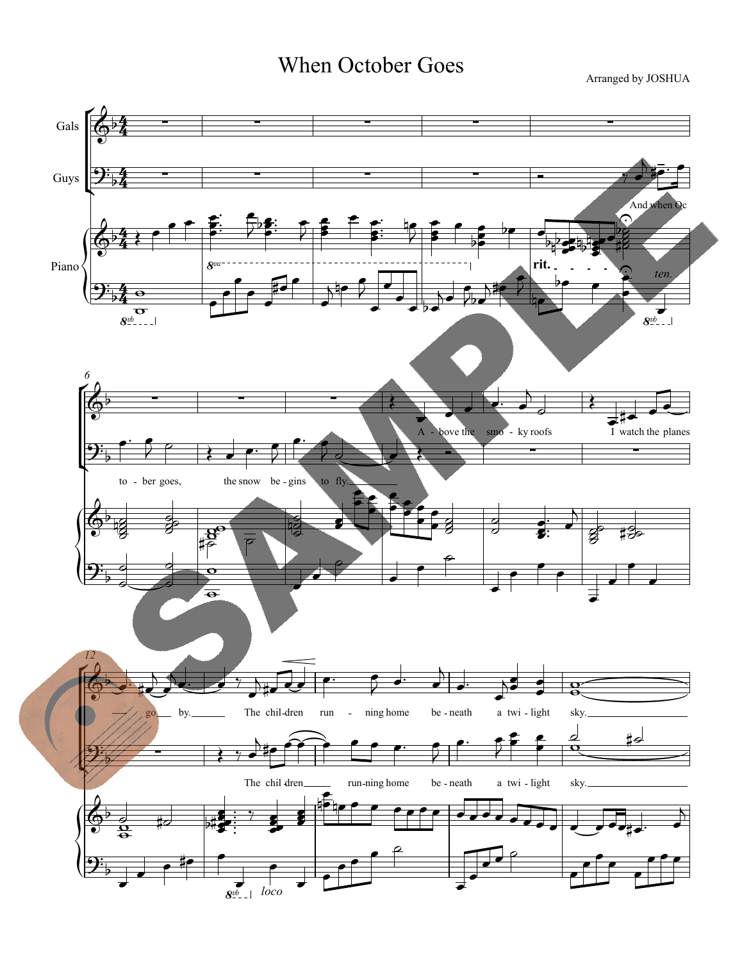## When October Goes

Arranged by JOSHUA

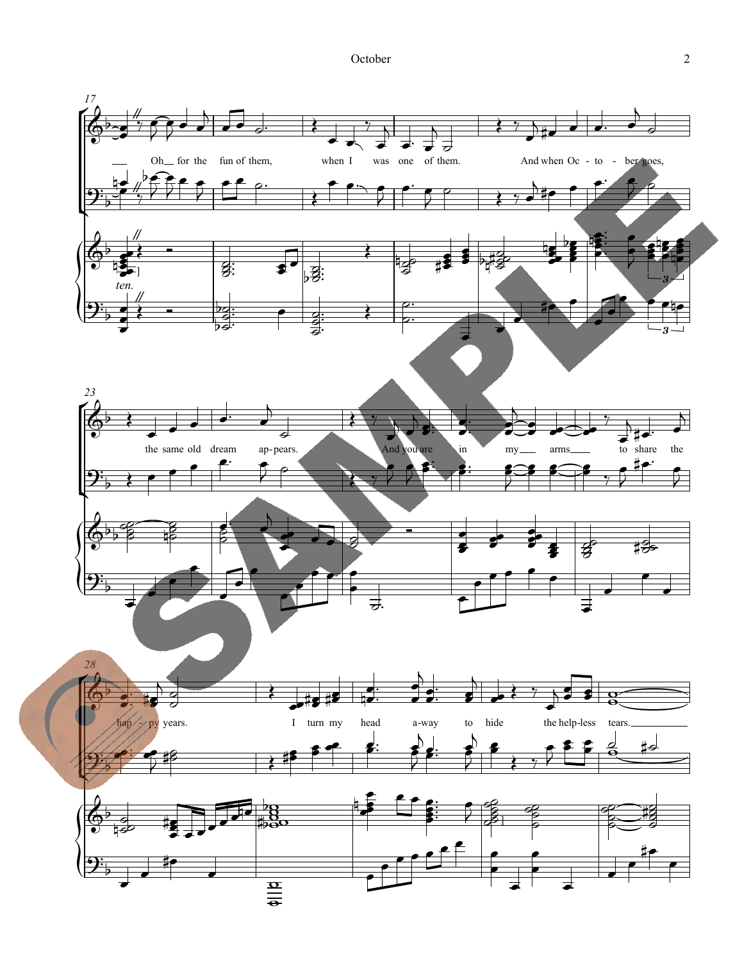October 2

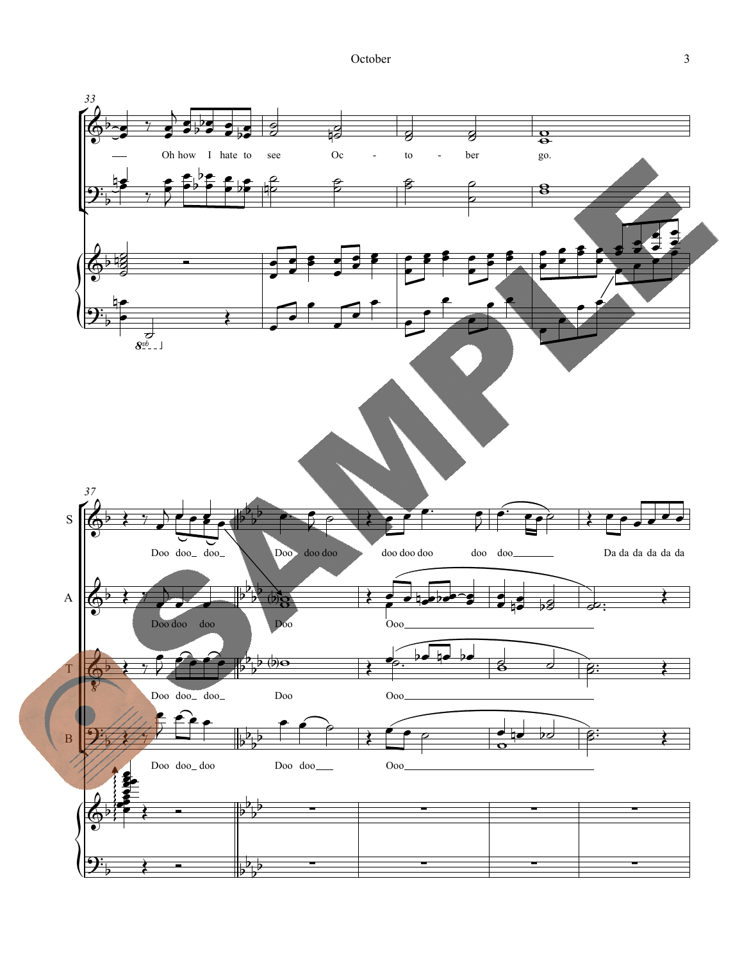October 3